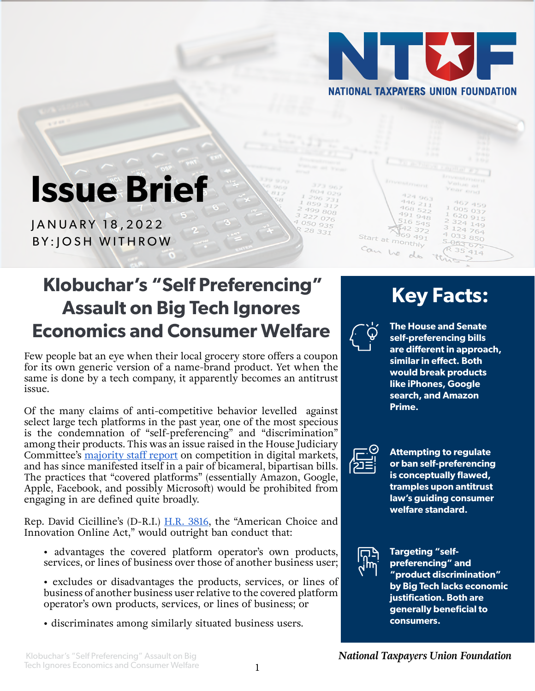

446 211<br>468 522<br>491

 $69.491$ 

Start at monthly

Can he

 $948$ 

# **Issue Brief**

JANUARY 18,2022 BY:JOSH WITHROW

## **Klobuchar's "Self Preferencing" Assault on Big Tech Ignores Economics and Consumer Welfare**

Few people bat an eye when their local grocery store offers a coupon for its own generic version of a name-brand product. Yet when the same is done by a tech company, it apparently becomes an antitrust issue.

Of the many claims of anti-competitive behavior levelled against select large tech platforms in the past year, one of the most specious is the condemnation of "self-preferencing" and "discrimination" among their products. This was an issue raised in the House Judiciary Committee's [majority staff report](https://judiciary.house.gov/uploadedfiles/competition_in_digital_markets.pdf) on competition in digital markets, and has since manifested itself in a pair of bicameral, bipartisan bills. The practices that "covered platforms" (essentially Amazon, Google, Apple, Facebook, and possibly Microsoft) would be prohibited from engaging in are defined quite broadly.

Rep. David Cicilline's (D-R.I.) [H.R. 3816,](https://www.congress.gov/bill/117th-congress/house-bill/3816/text) the "American Choice and Innovation Online Act," would outright ban conduct that:

- advantages the covered platform operator's own products, services, or lines of business over those of another business user;
- excludes or disadvantages the products, services, or lines of business of another business user relative to the covered platform operator's own products, services, or lines of business; or
- discriminates among similarly situated business users.

## **Key Facts:**

005 037

 $620915$ 

324 149

 $124764$ 

 $414$ 

 $40338850$ 

5-063-075



199 808

 $227076$ 

 $4050935$ 

28 331

**The House and Senate self-preferencing bills are different in approach, similar in effect. Both would break products like iPhones, Google search, and Amazon Prime.**



**Attempting to regulate or ban self-preferencing is conceptually flawed, tramples upon antitrust law's guiding consumer welfare standard.** 



**Targeting "selfpreferencing" and "product discrimination" by Big Tech lacks economic justification. Both are generally beneficial to consumers.**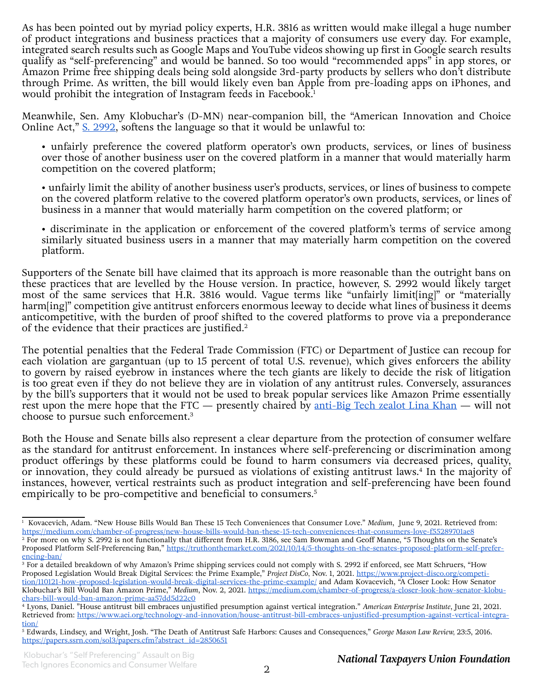As has been pointed out by myriad policy experts, H.R. 3816 as written would make illegal a huge number of product integrations and business practices that a majority of consumers use every day. For example, integrated search results such as Google Maps and YouTube videos showing up first in Google search results qualify as "self-preferencing" and would be banned. So too would "recommended apps" in app stores, or Amazon Prime free shipping deals being sold alongside 3rd-party products by sellers who don't distribute through Prime. As written, the bill would likely even ban Apple from pre-loading apps on iPhones, and would prohibit the integration of Instagram feeds in Facebook.<sup>1</sup>

Meanwhile, Sen. Amy Klobuchar's (D-MN) near-companion bill, the "American Innovation and Choice Online Act," [S. 2992](https://www.congress.gov/bill/117th-congress/senate-bill/2992/text), softens the language so that it would be unlawful to:

• unfairly preference the covered platform operator's own products, services, or lines of business over those of another business user on the covered platform in a manner that would materially harm competition on the covered platform;

• unfairly limit the ability of another business user's products, services, or lines of business to compete on the covered platform relative to the covered platform operator's own products, services, or lines of business in a manner that would materially harm competition on the covered platform; or

• discriminate in the application or enforcement of the covered platform's terms of service among similarly situated business users in a manner that may materially harm competition on the covered platform.

Supporters of the Senate bill have claimed that its approach is more reasonable than the outright bans on these practices that are levelled by the House version. In practice, however, S. 2992 would likely target most of the same services that H.R. 3816 would. Vague terms like "unfairly limit[ing]" or "materially harm[ing]" competition give antitrust enforcers enormous leeway to decide what lines of business it deems anticompetitive, with the burden of proof shifted to the covered platforms to prove via a preponderance of the evidence that their practices are justified.<sup>2</sup>

The potential penalties that the Federal Trade Commission (FTC) or Department of Justice can recoup for each violation are gargantuan (up to 15 percent of total U.S. revenue), which gives enforcers the ability to govern by raised eyebrow in instances where the tech giants are likely to decide the risk of litigation is too great even if they do not believe they are in violation of any antitrust rules. Conversely, assurances by the bill's supporters that it would not be used to break popular services like Amazon Prime essentially rest upon the mere hope that the FTC — presently chaired by <u>[anti-Big Tech zealot Lina Khan](https://www.ntu.org/foundation/detail/bidens-first-ftc-pick-another-ill-omen-for-long-respected-restraints-on-antitrust)</u> — will not choose to pursue such enforcement.3

Both the House and Senate bills also represent a clear departure from the protection of consumer welfare as the standard for antitrust enforcement. In instances where self-preferencing or discrimination among product offerings by these platforms could be found to harm consumers via decreased prices, quality, or innovation, they could already be pursued as violations of existing antitrust laws.<sup>4</sup> In the majority of instances, however, vertical restraints such as product integration and self-preferencing have been found empirically to be pro-competitive and beneficial to consumers.<sup>5</sup>

<sup>1</sup> Kovacevich, Adam. "New House Bills Would Ban These 15 Tech Conveniences that Consumer Love." *Medium*, June 9, 2021. Retrieved from: <https://medium.com/chamber-of-progress/new-house-bills-would-ban-these-15-tech-conveniences-that-consumers-love-f55289701ae8> <sup>2</sup> For more on why S. 2992 is not functionally that different from H.R. 3186, see Sam Bowman and Geoff Manne, "5 Thoughts on the Senate's Proposed Platform Self-Preferencing Ban," [https://truthonthemarket.com/2021/10/14/5-thoughts-on-the-senates-proposed-platform-self-prefer](https://truthonthemarket.com/2021/10/14/5-thoughts-on-the-senates-proposed-platform-self-preferencing-ban/)[encing-ban/](https://truthonthemarket.com/2021/10/14/5-thoughts-on-the-senates-proposed-platform-self-preferencing-ban/)

<sup>3</sup> For a detailed breakdown of why Amazon's Prime shipping services could not comply with S. 2992 if enforced, see Matt Schruers, "How Proposed Legislation Would Break Digital Services: the Prime Example," *Project DisCo,* Nov. 1, 2021. [https://www.project-disco.org/competi](https://www.project-disco.org/competition/110121-how-proposed-legislation-would-break-digital-services-the-prime-example/)[tion/110121-how-proposed-legislation-would-break-digital-services-the-prime-example/](https://www.project-disco.org/competition/110121-how-proposed-legislation-would-break-digital-services-the-prime-example/) and Adam Kovacevich, "A Closer Look: How Senator Klobuchar's Bill Would Ban Amazon Prime," *Medium*, Nov. 2, 2021. [https://medium.com/chamber-of-progress/a-closer-look-how-senator-klobu](https://medium.com/chamber-of-progress/a-closer-look-how-senator-klobuchars-bill-would-ban-amazon-prime-aa57dd5d22c0)[chars-bill-would-ban-amazon-prime-aa57dd5d22c0](https://medium.com/chamber-of-progress/a-closer-look-how-senator-klobuchars-bill-would-ban-amazon-prime-aa57dd5d22c0)

<sup>4</sup> Lyons, Daniel. "House antitrust bill embraces unjustified presumption against vertical integration." *American Enterprise Institute*, June 21, 2021. Retrieved from: [https://www.aei.org/technology-and-innovation/house-antitrust-bill-embraces-unjustified-presumption-against-vertical-integra](https://www.aei.org/technology-and-innovation/house-antitrust-bill-embraces-unjustified-presumption-against-vertical-integration/)[tion/](https://www.aei.org/technology-and-innovation/house-antitrust-bill-embraces-unjustified-presumption-against-vertical-integration/)

<sup>5</sup> Edwards, Lindsey, and Wright, Josh. "The Death of Antitrust Safe Harbors: Causes and Consequences," *George Mason Law Review,* 23:5, 2016. [https://papers.ssrn.com/sol3/papers.cfm?abstract\\_id=2850651](https://papers.ssrn.com/sol3/papers.cfm?abstract_id=2850651)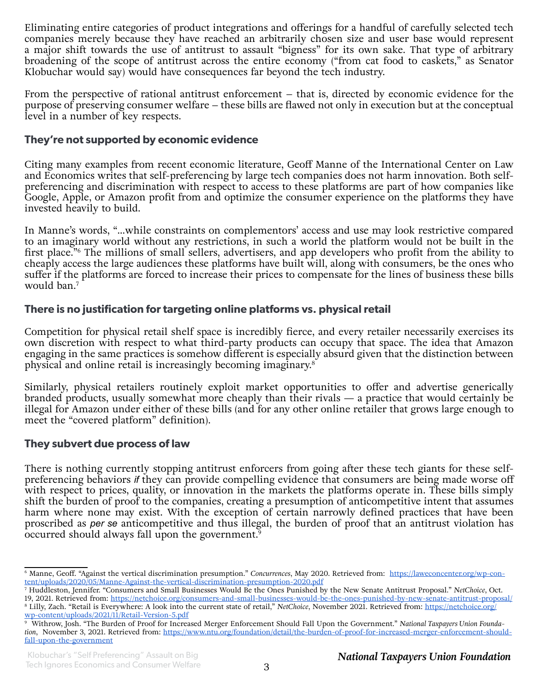Eliminating entire categories of product integrations and offerings for a handful of carefully selected tech companies merely because they have reached an arbitrarily chosen size and user base would represent a major shift towards the use of antitrust to assault "bigness" for its own sake. That type of arbitrary broadening of the scope of antitrust across the entire economy ("from cat food to caskets," as Senator Klobuchar would say) would have consequences far beyond the tech industry.

From the perspective of rational antitrust enforcement – that is, directed by economic evidence for the purpose of preserving consumer welfare – these bills are flawed not only in execution but at the conceptual level in a number of key respects.

#### **They're not supported by economic evidence**

Citing many examples from recent economic literature, Geoff Manne of the International Center on Law and Economics writes that self-preferencing by large tech companies does not harm innovation. Both selfpreferencing and discrimination with respect to access to these platforms are part of how companies like Google, Apple, or Amazon profit from and optimize the consumer experience on the platforms they have invested heavily to build.

In Manne's words, "...while constraints on complementors' access and use may look restrictive compared to an imaginary world without any restrictions, in such a world the platform would not be built in the first place."6 The millions of small sellers, advertisers, and app developers who profit from the ability to cheaply access the large audiences these platforms have built will, along with consumers, be the ones who suffer if the platforms are forced to increase their prices to compensate for the lines of business these bills would ban.7

#### **There is no justification for targeting online platforms vs. physical retail**

Competition for physical retail shelf space is incredibly fierce, and every retailer necessarily exercises its own discretion with respect to what third-party products can occupy that space. The idea that Amazon engaging in the same practices is somehow different is especially absurd given that the distinction between physical and online retail is increasingly becoming imaginary.8

Similarly, physical retailers routinely exploit market opportunities to offer and advertise generically branded products, usually somewhat more cheaply than their rivals — a practice that would certainly be illegal for Amazon under either of these bills (and for any other online retailer that grows large enough to meet the "covered platform" definition).

#### **They subvert due process of law**

There is nothing currently stopping antitrust enforcers from going after these tech giants for these selfpreferencing behaviors *if* they can provide compelling evidence that consumers are being made worse off with respect to prices, quality, or innovation in the markets the platforms operate in. These bills simply shift the burden of proof to the companies, creating a presumption of anticompetitive intent that assumes harm where none may exist. With the exception of certain narrowly defined practices that have been proscribed as *per se* anticompetitive and thus illegal, the burden of proof that an antitrust violation has occurred should always fall upon the government.9

<sup>6</sup> Manne, Geoff. "Against the vertical discrimination presumption." *Concurrences*, May 2020. Retrieved from: [https://laweconcenter.org/wp-con](https://laweconcenter.org/wp-content/uploads/2020/05/Manne-Against-the-vertical-discrimination-presumption-2020.pdf)[tent/uploads/2020/05/Manne-Against-the-vertical-discrimination-presumption-2020.pdf](https://laweconcenter.org/wp-content/uploads/2020/05/Manne-Against-the-vertical-discrimination-presumption-2020.pdf)

<sup>7</sup> Huddleston, Jennifer. "Consumers and Small Businesses Would Be the Ones Punished by the New Senate Antitrust Proposal." *NetChoice*, Oct.

<sup>19, 2021.</sup> Retrieved from: <https://netchoice.org/consumers-and-small-businesses-would-be-the-ones-punished-by-new-senate-antitrust-proposal/> 8 Lilly, Zach. "Retail is Everywhere: A look into the current state of retail," *NetChoice*, November 2021. Retrieved from: [https://netchoice.org/](https://netchoice.org/wp-content/uploads/2021/11/Retail-Version-5.pdf)

[wp-content/uploads/2021/11/Retail-Version-5.pdf](https://netchoice.org/wp-content/uploads/2021/11/Retail-Version-5.pdf) 9 Withrow, Josh. "The Burden of Proof for Increased Merger Enforcement Should Fall Upon the Government." *National Taxpayers Union Foundation*, November 3, 2021. Retrieved from: [https://www.ntu.org/foundation/detail/the-burden-of-proof-for-increased-merger-enforcement-should](https://www.ntu.org/foundation/detail/the-burden-of-proof-for-increased-merger-enforcement-should-fall-upon-the-government)[fall-upon-the-government](https://www.ntu.org/foundation/detail/the-burden-of-proof-for-increased-merger-enforcement-should-fall-upon-the-government)